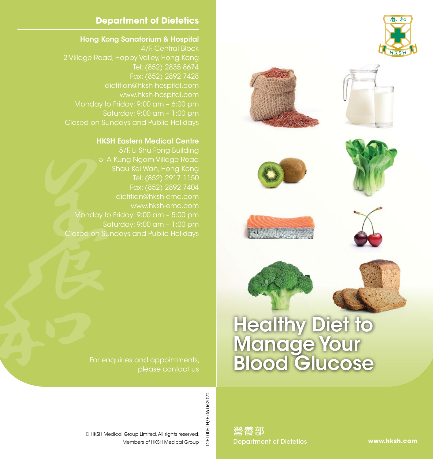











# Healthy Diet to Manage Your Blood Glucose

營養部 and Sack of Americal All rights reserved.<br>
The Members of HKSH Medical Group<br>
Members of HKSH Medical Group

### **Department of Dietetics**

#### Hong Kong Sanatorium & Hospital

4/F, Central Block 2 Village Road, Happy Valley, Hong Kong Tel: (852) 2835 8674 dietitian@hksh-hospital.com www.hksh-hospital.com Monday to Friday: 9:00 am – 6:00 pm Saturday: 9:00 am – 1:00 pm Closed on Sundays and Public Holidays

#### HKSH Eastern Medical Centre

5/F, Li Shu Fong Building 5 A Kung Ngam Village Road Shau Kei Wan, Hong Kong Tel: (852) 2917 1150 Fax: (852) 2892 7404 www.hksh-emc.com Monday to Friday: 9:00 am – 5:00 pm Saturday: 9:00 am – 1:00 pm Closed on Sundays and Public Holidays

> For enquiries and appointments, please contact us

> > DIET.006I.H/E-06-062020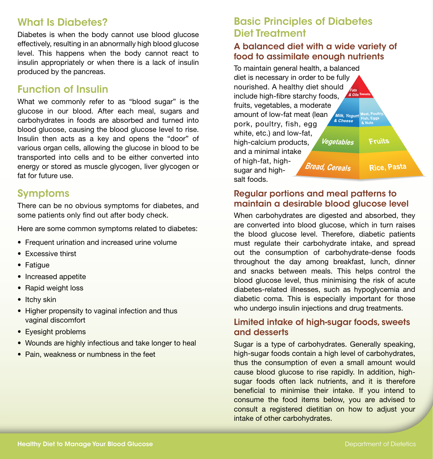# What Is Diabetes?

Diabetes is when the body cannot use blood glucose effectively, resulting in an abnormally high blood glucose level. This happens when the body cannot react to insulin appropriately or when there is a lack of insulin produced by the pancreas.

# Function of Insulin

What we commonly refer to as "blood sugar" is the glucose in our blood. After each meal, sugars and carbohydrates in foods are absorbed and turned into blood glucose, causing the blood glucose level to rise. Insulin then acts as a key and opens the "door" of various organ cells, allowing the glucose in blood to be transported into cells and to be either converted into energy or stored as muscle glycogen, liver glycogen or fat for future use.

# Symptoms

There can be no obvious symptoms for diabetes, and some patients only find out after body check.

Here are some common symptoms related to diabetes:

- Frequent urination and increased urine volume
- Excessive thirst
- Fatigue
- Increased appetite
- Rapid weight loss
- Itchy skin
- Higher propensity to vaginal infection and thus vaginal discomfort
- Eyesight problems
- Wounds are highly infectious and take longer to heal
- Pain, weakness or numbness in the feet

# Basic Principles of Diabetes Diet Treatment

# A balanced diet with a wide variety of food to assimilate enough nutrients



## Regular portions and meal patterns to maintain a desirable blood glucose level

When carbohydrates are digested and absorbed, they are converted into blood glucose, which in turn raises the blood glucose level. Therefore, diabetic patients must regulate their carbohydrate intake, and spread out the consumption of carbohydrate-dense foods throughout the day among breakfast, lunch, dinner and snacks between meals. This helps control the blood glucose level, thus minimising the risk of acute diabetes-related illnesses, such as hypoglycemia and diabetic coma. This is especially important for those who undergo insulin injections and drug treatments.

## Limited intake of high-sugar foods, sweets and desserts

Sugar is a type of carbohydrates. Generally speaking, high-sugar foods contain a high level of carbohydrates, thus the consumption of even a small amount would cause blood glucose to rise rapidly. In addition, highsugar foods often lack nutrients, and it is therefore beneficial to minimise their intake. If you intend to consume the food items below, you are advised to consult a registered dietitian on how to adjust your intake of other carbohydrates.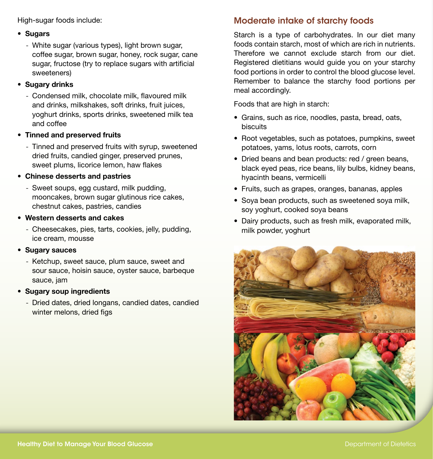High-sugar foods include:

#### • Sugars

- White sugar (various types), light brown sugar, coffee sugar, brown sugar, honey, rock sugar, cane sugar, fructose (try to replace sugars with artificial sweeteners)

#### • Sugary drinks

- Condensed milk, chocolate milk, flavoured milk and drinks, milkshakes, soft drinks, fruit juices, yoghurt drinks, sports drinks, sweetened milk tea and coffee

#### • Tinned and preserved fruits

- Tinned and preserved fruits with syrup, sweetened dried fruits, candied ginger, preserved prunes, sweet plums, licorice lemon, haw flakes

#### • Chinese desserts and pastries

- Sweet soups, egg custard, milk pudding, mooncakes, brown sugar glutinous rice cakes, chestnut cakes, pastries, candies

#### • Western desserts and cakes

- Cheesecakes, pies, tarts, cookies, jelly, pudding, ice cream, mousse

#### • Sugary sauces

- Ketchup, sweet sauce, plum sauce, sweet and sour sauce, hoisin sauce, oyster sauce, barbeque sauce, jam

#### • Sugary soup ingredients

- Dried dates, dried longans, candied dates, candied winter melons, dried figs

# Moderate intake of starchy foods

Starch is a type of carbohydrates. In our diet many foods contain starch, most of which are rich in nutrients. Therefore we cannot exclude starch from our diet. Registered dietitians would guide you on your starchy food portions in order to control the blood glucose level. Remember to balance the starchy food portions per meal accordingly.

Foods that are high in starch:

- Grains, such as rice, noodles, pasta, bread, oats, biscuits
- Root vegetables, such as potatoes, pumpkins, sweet potatoes, yams, lotus roots, carrots, corn
- Dried beans and bean products: red / green beans, black eyed peas, rice beans, lily bulbs, kidney beans, hyacinth beans, vermicelli
- Fruits, such as grapes, oranges, bananas, apples
- Soya bean products, such as sweetened soya milk, soy yoghurt, cooked soya beans
- Dairy products, such as fresh milk, evaporated milk, milk powder, yoghurt